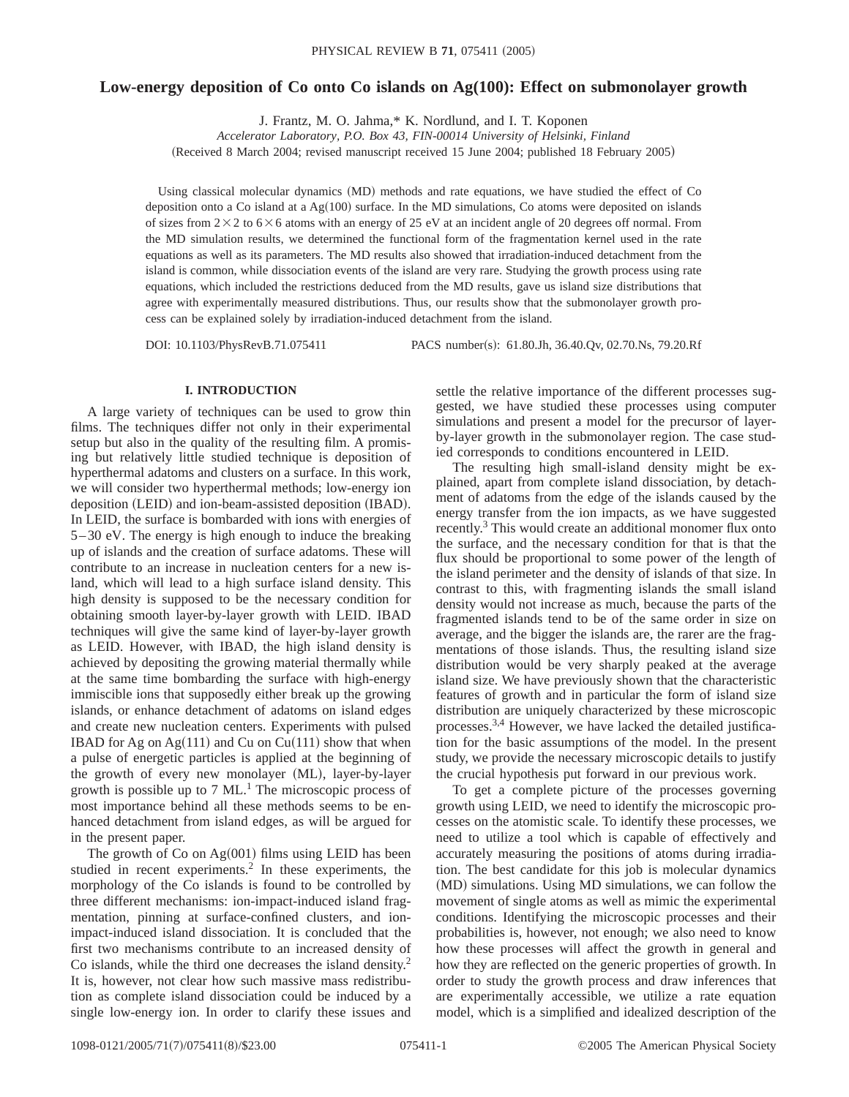# **Low-energy deposition of Co onto Co islands on Ag(100): Effect on submonolayer growth**

J. Frantz, M. O. Jahma,\* K. Nordlund, and I. T. Koponen

*Accelerator Laboratory, P.O. Box 43, FIN-00014 University of Helsinki, Finland*

(Received 8 March 2004; revised manuscript received 15 June 2004; published 18 February 2005)

Using classical molecular dynamics (MD) methods and rate equations, we have studied the effect of Co deposition onto a Co island at a  $Ag(100)$  surface. In the MD simulations, Co atoms were deposited on islands of sizes from  $2\times2$  to 6 $\times6$  atoms with an energy of 25 eV at an incident angle of 20 degrees off normal. From the MD simulation results, we determined the functional form of the fragmentation kernel used in the rate equations as well as its parameters. The MD results also showed that irradiation-induced detachment from the island is common, while dissociation events of the island are very rare. Studying the growth process using rate equations, which included the restrictions deduced from the MD results, gave us island size distributions that agree with experimentally measured distributions. Thus, our results show that the submonolayer growth process can be explained solely by irradiation-induced detachment from the island.

DOI: 10.1103/PhysRevB.71.075411 PACS number(s): 61.80.Jh, 36.40.Ov, 02.70.Ns, 79.20.Rf

### **I. INTRODUCTION**

A large variety of techniques can be used to grow thin films. The techniques differ not only in their experimental setup but also in the quality of the resulting film. A promising but relatively little studied technique is deposition of hyperthermal adatoms and clusters on a surface. In this work, we will consider two hyperthermal methods; low-energy ion deposition (LEID) and ion-beam-assisted deposition (IBAD). In LEID, the surface is bombarded with ions with energies of 5–30 eV. The energy is high enough to induce the breaking up of islands and the creation of surface adatoms. These will contribute to an increase in nucleation centers for a new island, which will lead to a high surface island density. This high density is supposed to be the necessary condition for obtaining smooth layer-by-layer growth with LEID. IBAD techniques will give the same kind of layer-by-layer growth as LEID. However, with IBAD, the high island density is achieved by depositing the growing material thermally while at the same time bombarding the surface with high-energy immiscible ions that supposedly either break up the growing islands, or enhance detachment of adatoms on island edges and create new nucleation centers. Experiments with pulsed IBAD for Ag on  $Ag(111)$  and Cu on Cu(111) show that when a pulse of energetic particles is applied at the beginning of the growth of every new monolayer  $(ML)$ , layer-by-layer growth is possible up to  $7 \text{ ML}$ .<sup>1</sup> The microscopic process of most importance behind all these methods seems to be enhanced detachment from island edges, as will be argued for in the present paper.

The growth of Co on  $Ag(001)$  films using LEID has been studied in recent experiments.<sup>2</sup> In these experiments, the morphology of the Co islands is found to be controlled by three different mechanisms: ion-impact-induced island fragmentation, pinning at surface-confined clusters, and ionimpact-induced island dissociation. It is concluded that the first two mechanisms contribute to an increased density of Co islands, while the third one decreases the island density.2 It is, however, not clear how such massive mass redistribution as complete island dissociation could be induced by a single low-energy ion. In order to clarify these issues and settle the relative importance of the different processes suggested, we have studied these processes using computer simulations and present a model for the precursor of layerby-layer growth in the submonolayer region. The case studied corresponds to conditions encountered in LEID.

The resulting high small-island density might be explained, apart from complete island dissociation, by detachment of adatoms from the edge of the islands caused by the energy transfer from the ion impacts, as we have suggested recently.<sup>3</sup> This would create an additional monomer flux onto the surface, and the necessary condition for that is that the flux should be proportional to some power of the length of the island perimeter and the density of islands of that size. In contrast to this, with fragmenting islands the small island density would not increase as much, because the parts of the fragmented islands tend to be of the same order in size on average, and the bigger the islands are, the rarer are the fragmentations of those islands. Thus, the resulting island size distribution would be very sharply peaked at the average island size. We have previously shown that the characteristic features of growth and in particular the form of island size distribution are uniquely characterized by these microscopic processes.3,4 However, we have lacked the detailed justification for the basic assumptions of the model. In the present study, we provide the necessary microscopic details to justify the crucial hypothesis put forward in our previous work.

To get a complete picture of the processes governing growth using LEID, we need to identify the microscopic processes on the atomistic scale. To identify these processes, we need to utilize a tool which is capable of effectively and accurately measuring the positions of atoms during irradiation. The best candidate for this job is molecular dynamics (MD) simulations. Using MD simulations, we can follow the movement of single atoms as well as mimic the experimental conditions. Identifying the microscopic processes and their probabilities is, however, not enough; we also need to know how these processes will affect the growth in general and how they are reflected on the generic properties of growth. In order to study the growth process and draw inferences that are experimentally accessible, we utilize a rate equation model, which is a simplified and idealized description of the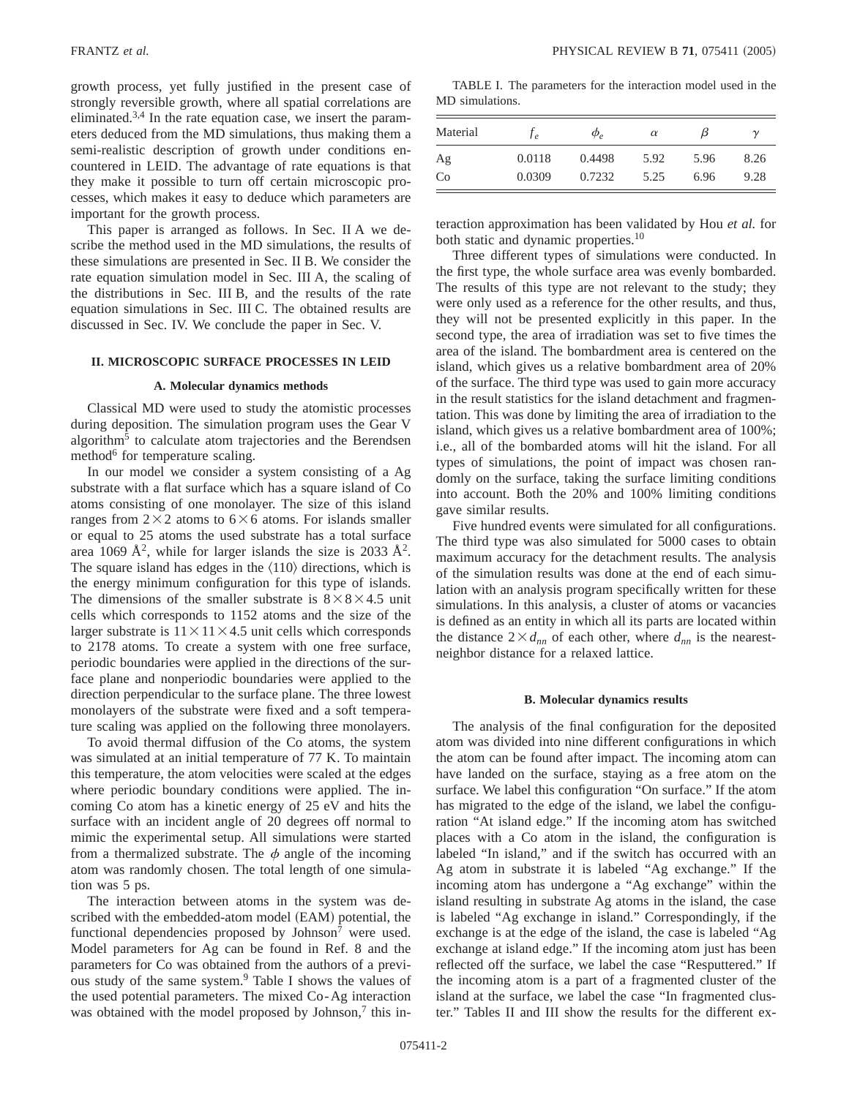growth process, yet fully justified in the present case of strongly reversible growth, where all spatial correlations are eliminated. $3,4$  In the rate equation case, we insert the parameters deduced from the MD simulations, thus making them a semi-realistic description of growth under conditions encountered in LEID. The advantage of rate equations is that they make it possible to turn off certain microscopic processes, which makes it easy to deduce which parameters are important for the growth process.

This paper is arranged as follows. In Sec. II A we describe the method used in the MD simulations, the results of these simulations are presented in Sec. II B. We consider the rate equation simulation model in Sec. III A, the scaling of the distributions in Sec. III B, and the results of the rate equation simulations in Sec. III C. The obtained results are discussed in Sec. IV. We conclude the paper in Sec. V.

#### **II. MICROSCOPIC SURFACE PROCESSES IN LEID**

## **A. Molecular dynamics methods**

Classical MD were used to study the atomistic processes during deposition. The simulation program uses the Gear V algorithm<sup>5</sup> to calculate atom trajectories and the Berendsen method<sup>6</sup> for temperature scaling.

In our model we consider a system consisting of a Ag substrate with a flat surface which has a square island of Co atoms consisting of one monolayer. The size of this island ranges from  $2\times2$  atoms to 6 $\times$ 6 atoms. For islands smaller or equal to 25 atoms the used substrate has a total surface area 1069  $\AA^2$ , while for larger islands the size is 2033  $\AA^2$ . The square island has edges in the  $\langle 110 \rangle$  directions, which is the energy minimum configuration for this type of islands. The dimensions of the smaller substrate is  $8 \times 8 \times 4.5$  unit cells which corresponds to 1152 atoms and the size of the larger substrate is  $11 \times 11 \times 4.5$  unit cells which corresponds to 2178 atoms. To create a system with one free surface, periodic boundaries were applied in the directions of the surface plane and nonperiodic boundaries were applied to the direction perpendicular to the surface plane. The three lowest monolayers of the substrate were fixed and a soft temperature scaling was applied on the following three monolayers.

To avoid thermal diffusion of the Co atoms, the system was simulated at an initial temperature of 77 K. To maintain this temperature, the atom velocities were scaled at the edges where periodic boundary conditions were applied. The incoming Co atom has a kinetic energy of 25 eV and hits the surface with an incident angle of 20 degrees off normal to mimic the experimental setup. All simulations were started from a thermalized substrate. The  $\phi$  angle of the incoming atom was randomly chosen. The total length of one simulation was 5 ps.

The interaction between atoms in the system was described with the embedded-atom model (EAM) potential, the functional dependencies proposed by Johnson<sup>7</sup> were used. Model parameters for Ag can be found in Ref. 8 and the parameters for Co was obtained from the authors of a previous study of the same system.<sup>9</sup> Table I shows the values of the used potential parameters. The mixed Co-Ag interaction was obtained with the model proposed by Johnson,<sup>7</sup> this in-

TABLE I. The parameters for the interaction model used in the MD simulations.

| Material | J e    | $\phi_e$ | $\alpha$ | B    | $\gamma$ |
|----------|--------|----------|----------|------|----------|
| Ag       | 0.0118 | 0.4498   | 5.92     | 5.96 | 8.26     |
| Co       | 0.0309 | 0.7232   | 5.25     | 6.96 | 9.28     |

teraction approximation has been validated by Hou *et al.* for both static and dynamic properties.<sup>10</sup>

Three different types of simulations were conducted. In the first type, the whole surface area was evenly bombarded. The results of this type are not relevant to the study; they were only used as a reference for the other results, and thus, they will not be presented explicitly in this paper. In the second type, the area of irradiation was set to five times the area of the island. The bombardment area is centered on the island, which gives us a relative bombardment area of 20% of the surface. The third type was used to gain more accuracy in the result statistics for the island detachment and fragmentation. This was done by limiting the area of irradiation to the island, which gives us a relative bombardment area of 100%; i.e., all of the bombarded atoms will hit the island. For all types of simulations, the point of impact was chosen randomly on the surface, taking the surface limiting conditions into account. Both the 20% and 100% limiting conditions gave similar results.

Five hundred events were simulated for all configurations. The third type was also simulated for 5000 cases to obtain maximum accuracy for the detachment results. The analysis of the simulation results was done at the end of each simulation with an analysis program specifically written for these simulations. In this analysis, a cluster of atoms or vacancies is defined as an entity in which all its parts are located within the distance  $2 \times d_{nn}$  of each other, where  $d_{nn}$  is the nearestneighbor distance for a relaxed lattice.

### **B. Molecular dynamics results**

The analysis of the final configuration for the deposited atom was divided into nine different configurations in which the atom can be found after impact. The incoming atom can have landed on the surface, staying as a free atom on the surface. We label this configuration "On surface." If the atom has migrated to the edge of the island, we label the configuration "At island edge." If the incoming atom has switched places with a Co atom in the island, the configuration is labeled "In island," and if the switch has occurred with an Ag atom in substrate it is labeled "Ag exchange." If the incoming atom has undergone a "Ag exchange" within the island resulting in substrate Ag atoms in the island, the case is labeled "Ag exchange in island." Correspondingly, if the exchange is at the edge of the island, the case is labeled "Ag exchange at island edge." If the incoming atom just has been reflected off the surface, we label the case "Resputtered." If the incoming atom is a part of a fragmented cluster of the island at the surface, we label the case "In fragmented cluster." Tables II and III show the results for the different ex-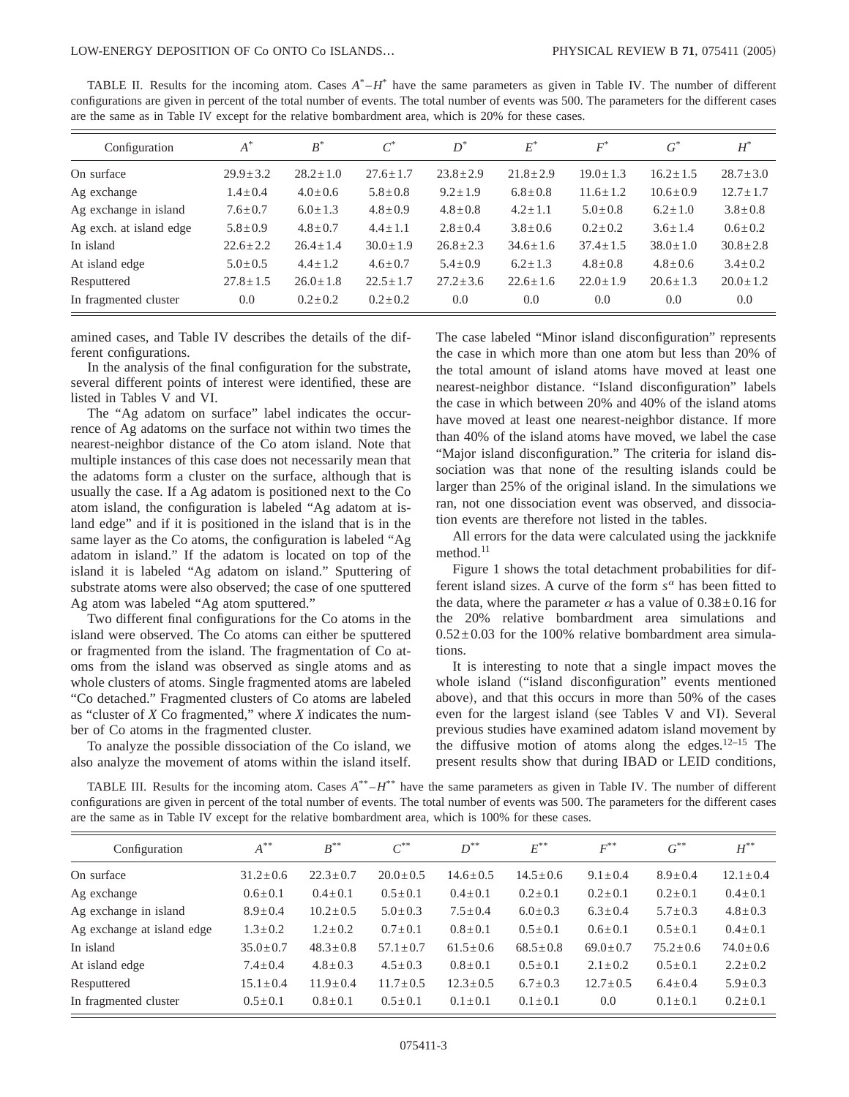TABLE II. Results for the incoming atom. Cases  $A^* - H^*$  have the same parameters as given in Table IV. The number of different configurations are given in percent of the total number of events. The total number of events was 500. The parameters for the different cases are the same as in Table IV except for the relative bombardment area, which is 20% for these cases.

| Configuration           | $A^*$          | $B^*$          | $C^*$          | $D^*$         | $E^*$          | $F^*$          | $G^*$          | $H^*$          |
|-------------------------|----------------|----------------|----------------|---------------|----------------|----------------|----------------|----------------|
| On surface              | $29.9 \pm 3.2$ | $28.2 + 1.0$   | $27.6 + 1.7$   | $23.8 + 2.9$  | $21.8 + 2.9$   | $19.0 + 1.3$   | $16.2 + 1.5$   | $28.7 + 3.0$   |
| Ag exchange             | $1.4 \pm 0.4$  | $4.0 \pm 0.6$  | $5.8 \pm 0.8$  | $9.2 \pm 1.9$ | $6.8 \pm 0.8$  | $11.6 \pm 1.2$ | $10.6 \pm 0.9$ | $12.7 + 1.7$   |
| Ag exchange in island   | $7.6 \pm 0.7$  | $6.0 \pm 1.3$  | $4.8 \pm 0.9$  | $4.8 \pm 0.8$ | $4.2 + 1.1$    | $5.0 \pm 0.8$  | $6.2 \pm 1.0$  | $3.8 \pm 0.8$  |
| Ag exch. at island edge | $5.8 + 0.9$    | $4.8 \pm 0.7$  | $4.4 \pm 1.1$  | $2.8 \pm 0.4$ | $3.8 + 0.6$    | $0.2 \pm 0.2$  | $3.6 \pm 1.4$  | $0.6 \pm 0.2$  |
| In island               | $22.6 \pm 2.2$ | $26.4 \pm 1.4$ | $30.0 \pm 1.9$ | $26.8 + 2.3$  | $34.6 \pm 1.6$ | $37.4 \pm 1.5$ | $38.0 \pm 1.0$ | $30.8 \pm 2.8$ |
| At island edge          | $5.0 \pm 0.5$  | $4.4 \pm 1.2$  | $4.6 \pm 0.7$  | $5.4 \pm 0.9$ | $6.2 + 1.3$    | $4.8 \pm 0.8$  | $4.8 \pm 0.6$  | $3.4 \pm 0.2$  |
| Resputtered             | $27.8 \pm 1.5$ | $26.0 \pm 1.8$ | $22.5 + 1.7$   | $27.2 + 3.6$  | $22.6 + 1.6$   | $22.0 \pm 1.9$ | $20.6 + 1.3$   | $20.0 \pm 1.2$ |
| In fragmented cluster   | 0.0            | $0.2 \pm 0.2$  | $0.2 \pm 0.2$  | 0.0           | 0.0            | 0.0            | 0.0            | 0.0            |

amined cases, and Table IV describes the details of the different configurations.

In the analysis of the final configuration for the substrate, several different points of interest were identified, these are listed in Tables V and VI.

The "Ag adatom on surface" label indicates the occurrence of Ag adatoms on the surface not within two times the nearest-neighbor distance of the Co atom island. Note that multiple instances of this case does not necessarily mean that the adatoms form a cluster on the surface, although that is usually the case. If a Ag adatom is positioned next to the Co atom island, the configuration is labeled "Ag adatom at island edge" and if it is positioned in the island that is in the same layer as the Co atoms, the configuration is labeled "Ag adatom in island." If the adatom is located on top of the island it is labeled "Ag adatom on island." Sputtering of substrate atoms were also observed; the case of one sputtered Ag atom was labeled "Ag atom sputtered."

Two different final configurations for the Co atoms in the island were observed. The Co atoms can either be sputtered or fragmented from the island. The fragmentation of Co atoms from the island was observed as single atoms and as whole clusters of atoms. Single fragmented atoms are labeled "Co detached." Fragmented clusters of Co atoms are labeled as "cluster of *X* Co fragmented," where *X* indicates the number of Co atoms in the fragmented cluster.

To analyze the possible dissociation of the Co island, we also analyze the movement of atoms within the island itself. The case labeled "Minor island disconfiguration" represents the case in which more than one atom but less than 20% of the total amount of island atoms have moved at least one nearest-neighbor distance. "Island disconfiguration" labels the case in which between 20% and 40% of the island atoms have moved at least one nearest-neighbor distance. If more than 40% of the island atoms have moved, we label the case "Major island disconfiguration." The criteria for island dissociation was that none of the resulting islands could be larger than 25% of the original island. In the simulations we ran, not one dissociation event was observed, and dissociation events are therefore not listed in the tables.

All errors for the data were calculated using the jackknife method.<sup>11</sup>

Figure 1 shows the total detachment probabilities for different island sizes. A curve of the form  $s^{\alpha}$  has been fitted to the data, where the parameter  $\alpha$  has a value of  $0.38\pm0.16$  for the 20% relative bombardment area simulations and  $0.52\pm0.03$  for the 100% relative bombardment area simulations.

It is interesting to note that a single impact moves the whole island ("island disconfiguration" events mentioned above), and that this occurs in more than 50% of the cases even for the largest island (see Tables V and VI). Several previous studies have examined adatom island movement by the diffusive motion of atoms along the edges.<sup>12–15</sup> The present results show that during IBAD or LEID conditions,

TABLE III. Results for the incoming atom. Cases  $A^{**} - H^{**}$  have the same parameters as given in Table IV. The number of different configurations are given in percent of the total number of events. The total number of events was 500. The parameters for the different cases are the same as in Table IV except for the relative bombardment area, which is 100% for these cases.

| Configuration              | $A^{**}$       | $R^{**}$       | $C^{\ast\ast}$ | $D^{**}$       | $E^{**}$       | $F^{\ast\ast}$ | $G^{**}$      | $H^{**}$       |
|----------------------------|----------------|----------------|----------------|----------------|----------------|----------------|---------------|----------------|
| On surface                 | $31.2 \pm 0.6$ | $22.3 + 0.7$   | $20.0 + 0.5$   | $14.6 + 0.5$   | $14.5 + 0.6$   | $9.1 + 0.4$    | $8.9 + 0.4$   | $12.1 + 0.4$   |
| Ag exchange                | $0.6 \pm 0.1$  | $0.4 \pm 0.1$  | $0.5 \pm 0.1$  | $0.4 \pm 0.1$  | $0.2 + 0.1$    | $0.2 \pm 0.1$  | $0.2 \pm 0.1$ | $0.4 \pm 0.1$  |
| Ag exchange in island      | $8.9 \pm 0.4$  | $10.2 \pm 0.5$ | $5.0 \pm 0.3$  | $7.5 + 0.4$    | $6.0 \pm 0.3$  | $6.3 \pm 0.4$  | $5.7 \pm 0.3$ | $4.8 \pm 0.3$  |
| Ag exchange at island edge | $1.3 \pm 0.2$  | $1.2 + 0.2$    | $0.7 \pm 0.1$  | $0.8 \pm 0.1$  | $0.5 + 0.1$    | $0.6 + 0.1$    | $0.5 + 0.1$   | $0.4 \pm 0.1$  |
| In island                  | $35.0 \pm 0.7$ | $48.3 \pm 0.8$ | $57.1 + 0.7$   | $61.5 \pm 0.6$ | $68.5 \pm 0.8$ | $69.0 \pm 0.7$ | $75.2 + 0.6$  | $74.0 \pm 0.6$ |
| At island edge             | $7.4 \pm 0.4$  | $4.8 \pm 0.3$  | $4.5 \pm 0.3$  | $0.8 \pm 0.1$  | $0.5 + 0.1$    | $2.1 \pm 0.2$  | $0.5 \pm 0.1$ | $2.2 \pm 0.2$  |
| Resputtered                | $15.1 \pm 0.4$ | $11.9 + 0.4$   | $11.7 + 0.5$   | $12.3 \pm 0.5$ | $6.7 + 0.3$    | $12.7 + 0.5$   | $6.4 + 0.4$   | $5.9 \pm 0.3$  |
| In fragmented cluster      | $0.5 \pm 0.1$  | $0.8 \pm 0.1$  | $0.5 + 0.1$    | $0.1 \pm 0.1$  | $0.1 + 0.1$    | $0.0^{\circ}$  | $0.1 \pm 0.1$ | $0.2 \pm 0.1$  |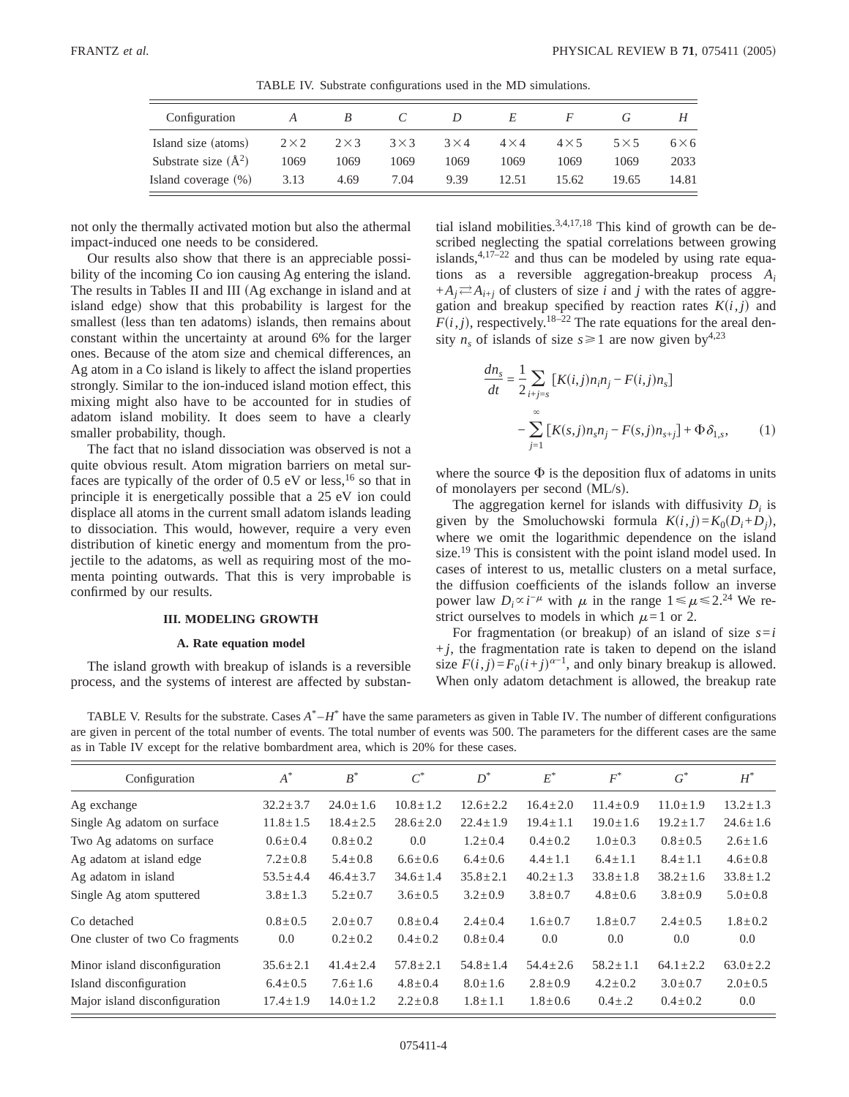| Configuration            |              | B            |              | D          | E            |              |              | Н           |
|--------------------------|--------------|--------------|--------------|------------|--------------|--------------|--------------|-------------|
| Island size (atoms)      | $2 \times 2$ | $2 \times 3$ | $3 \times 3$ | $3\times4$ | $4 \times 4$ | $4 \times 5$ | $5 \times 5$ | $6\times 6$ |
| Substrate size $(\AA^2)$ | 1069         | 1069         | 1069         | 1069       | 1069         | 1069         | 1069         | 2033        |
| Island coverage (%)      | 3.13         | 4.69         | 7.04         | 9.39       | 12.51        | 15.62        | 19.65        | 14.81       |

TABLE IV. Substrate configurations used in the MD simulations.

not only the thermally activated motion but also the athermal impact-induced one needs to be considered.

Our results also show that there is an appreciable possibility of the incoming Co ion causing Ag entering the island. The results in Tables II and III (Ag exchange in island and at island edge) show that this probability is largest for the smallest (less than ten adatoms) islands, then remains about constant within the uncertainty at around 6% for the larger ones. Because of the atom size and chemical differences, an Ag atom in a Co island is likely to affect the island properties strongly. Similar to the ion-induced island motion effect, this mixing might also have to be accounted for in studies of adatom island mobility. It does seem to have a clearly smaller probability, though.

The fact that no island dissociation was observed is not a quite obvious result. Atom migration barriers on metal surfaces are typically of the order of  $0.5 \text{ eV}$  or less,<sup>16</sup> so that in principle it is energetically possible that a 25 eV ion could displace all atoms in the current small adatom islands leading to dissociation. This would, however, require a very even distribution of kinetic energy and momentum from the projectile to the adatoms, as well as requiring most of the momenta pointing outwards. That this is very improbable is confirmed by our results.

# **III. MODELING GROWTH**

### **A. Rate equation model**

The island growth with breakup of islands is a reversible process, and the systems of interest are affected by substantial island mobilities.  $3,4,17,18$  This kind of growth can be described neglecting the spatial correlations between growing islands, $4,17$ <sup>-22</sup> and thus can be modeled by using rate equations as a reversible aggregation-breakup process *Ai*  $+A_i \rightleftarrows A_{i+j}$  of clusters of size *i* and *j* with the rates of aggregation and breakup specified by reaction rates  $K(i, j)$  and  $F(i, j)$ , respectively.<sup>18–22</sup> The rate equations for the areal density  $n_s$  of islands of size  $s \ge 1$  are now given by<sup>4,23</sup>

$$
\frac{dn_s}{dt} = \frac{1}{2} \sum_{i+j=s} [K(i,j)n_i n_j - F(i,j)n_s] - \sum_{j=1}^{\infty} [K(s,j)n_s n_j - F(s,j)n_{s+j}] + \Phi \delta_{1,s}, \qquad (1)
$$

where the source  $\Phi$  is the deposition flux of adatoms in units of monolayers per second  $(ML/s)$ .

The aggregation kernel for islands with diffusivity *Di* is given by the Smoluchowski formula  $K(i, j) = K_0(D_i + D_i)$ , where we omit the logarithmic dependence on the island size.<sup>19</sup> This is consistent with the point island model used. In cases of interest to us, metallic clusters on a metal surface, the diffusion coefficients of the islands follow an inverse power law  $D_i \propto i^{-\mu}$  with  $\mu$  in the range  $1 \le \mu \le 2^{24}$  We restrict ourselves to models in which  $\mu=1$  or 2.

For fragmentation (or breakup) of an island of size  $s=i$  $+ j$ , the fragmentation rate is taken to depend on the island size  $F(i, j) = F_0(i+j)^{\alpha-1}$ , and only binary breakup is allowed. When only adatom detachment is allowed, the breakup rate

TABLE V. Results for the substrate. Cases  $A^* - H^*$  have the same parameters as given in Table IV. The number of different configurations are given in percent of the total number of events. The total number of events was 500. The parameters for the different cases are the same as in Table IV except for the relative bombardment area, which is 20% for these cases.

| Configuration                   | $A^*$          | $B^*$          | $C^*$          | $D^*$          | $E^*$          | $F^*$          | $G^*$          | $H^*$          |
|---------------------------------|----------------|----------------|----------------|----------------|----------------|----------------|----------------|----------------|
| Ag exchange                     | $32.2 \pm 3.7$ | $24.0 \pm 1.6$ | $10.8 + 1.2$   | $12.6 \pm 2.2$ | $16.4 + 2.0$   | $11.4 \pm 0.9$ | $11.0 + 1.9$   | $13.2 \pm 1.3$ |
| Single Ag adatom on surface     | $11.8 \pm 1.5$ | $18.4 \pm 2.5$ | $28.6 + 2.0$   | $22.4 + 1.9$   | $19.4 + 1.1$   | $19.0 + 1.6$   | $19.2 + 1.7$   | $24.6 \pm 1.6$ |
| Two Ag adatoms on surface       | $0.6 + 0.4$    | $0.8 \pm 0.2$  | 0.0            | $1.2 + 0.4$    | $0.4 \pm 0.2$  | $1.0 \pm 0.3$  | $0.8 + 0.5$    | $2.6 \pm 1.6$  |
| Ag adatom at island edge        | $7.2 \pm 0.8$  | $5.4 \pm 0.8$  | $6.6 + 0.6$    | $6.4 \pm 0.6$  | $4.4 \pm 1.1$  | $6.4 \pm 1.1$  | $8.4 \pm 1.1$  | $4.6 \pm 0.8$  |
| Ag adatom in island             | $53.5 \pm 4.4$ | $46.4 \pm 3.7$ | $34.6 \pm 1.4$ | $35.8 \pm 2.1$ | $40.2 \pm 1.3$ | $33.8 \pm 1.8$ | $38.2 \pm 1.6$ | $33.8 \pm 1.2$ |
| Single Ag atom sputtered        | $3.8 \pm 1.3$  | $5.2 \pm 0.7$  | $3.6 \pm 0.5$  | $3.2 \pm 0.9$  | $3.8 \pm 0.7$  | $4.8 \pm 0.6$  | $3.8 \pm 0.9$  | $5.0 \pm 0.8$  |
| Co detached                     | $0.8 \pm 0.5$  | $2.0 + 0.7$    | $0.8 + 0.4$    | $2.4 + 0.4$    | $1.6 + 0.7$    | $1.8 + 0.7$    | $2.4 + 0.5$    | $1.8 + 0.2$    |
| One cluster of two Co fragments | 0.0            | $0.2 \pm 0.2$  | $0.4 + 0.2$    | $0.8 + 0.4$    | 0.0            | 0.0            | 0.0            | 0.0            |
| Minor island disconfiguration   | $35.6 \pm 2.1$ | $41.4 \pm 2.4$ | $57.8 + 2.1$   | $54.8 + 1.4$   | $54.4 + 2.6$   | $58.2 + 1.1$   | $64.1 + 2.2$   | $63.0 \pm 2.2$ |
| Island disconfiguration         | $6.4 \pm 0.5$  | $7.6 + 1.6$    | $4.8 + 0.4$    | $8.0 + 1.6$    | $2.8 + 0.9$    | $4.2 + 0.2$    | $3.0 \pm 0.7$  | $2.0 + 0.5$    |
| Major island disconfiguration   | $17.4 \pm 1.9$ | $14.0 \pm 1.2$ | $2.2 \pm 0.8$  | $1.8 \pm 1.1$  | $1.8 \pm 0.6$  | $0.4 \pm .2$   | $0.4 \pm 0.2$  | 0.0            |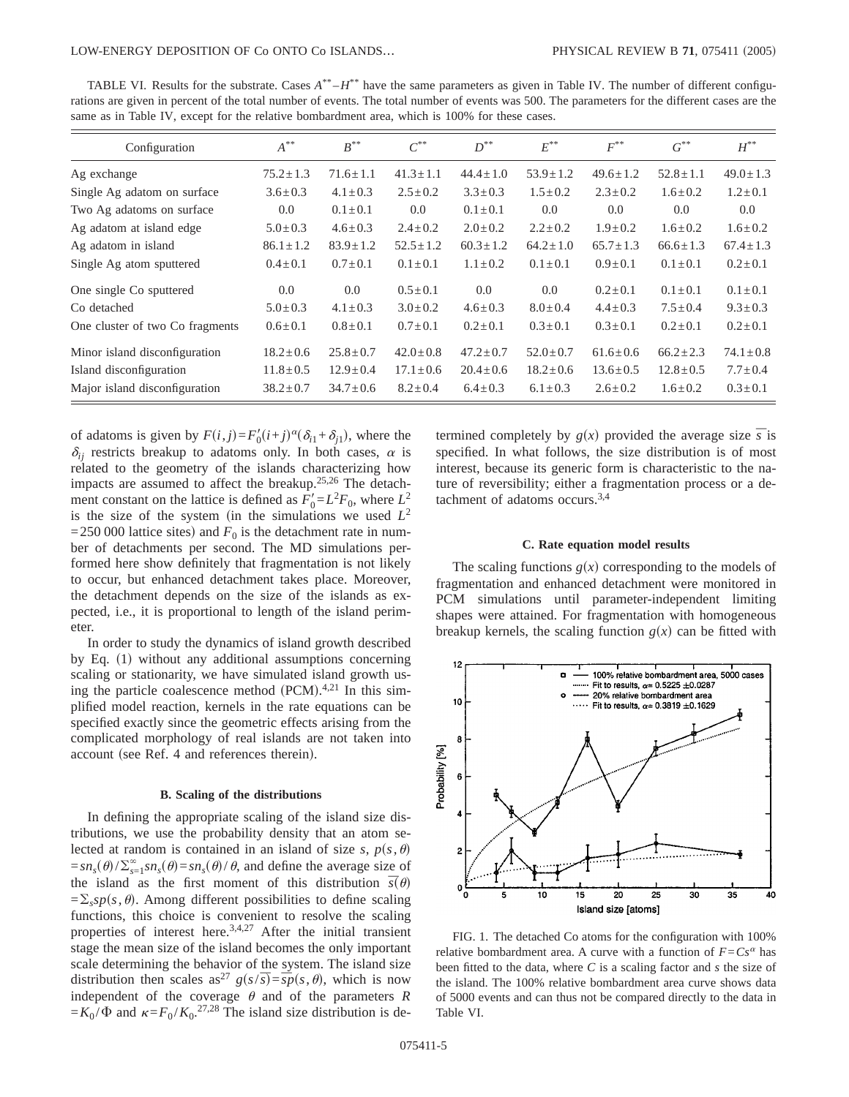TABLE VI. Results for the substrate. Cases  $A^{**} - H^{**}$  have the same parameters as given in Table IV. The number of different configurations are given in percent of the total number of events. The total number of events was 500. The parameters for the different cases are the same as in Table IV, except for the relative bombardment area, which is 100% for these cases.

| Configuration                   | $\boldsymbol{A}^{**}$ | $B^{\ast\ast}$ | $C^{\ast\ast}$ | $D^{**}$       | $\boldsymbol{E}^{**}$ | $\overline{F}^{**}$ | $G^{\ast\ast}$ | $H^{\ast\ast}$ |
|---------------------------------|-----------------------|----------------|----------------|----------------|-----------------------|---------------------|----------------|----------------|
| Ag exchange                     | $75.2 \pm 1.3$        | $71.6 \pm 1.1$ | $41.3 + 1.1$   | $44.4 + 1.0$   | $53.9 + 1.2$          | $49.6 \pm 1.2$      | $52.8 + 1.1$   | $49.0 \pm 1.3$ |
| Single Ag adatom on surface     | $3.6 \pm 0.3$         | $4.1 \pm 0.3$  | $2.5 \pm 0.2$  | $3.3 \pm 0.3$  | $1.5 \pm 0.2$         | $2.3 + 0.2$         | $1.6 + 0.2$    | $1.2 \pm 0.1$  |
| Two Ag adatoms on surface       | 0.0                   | $0.1 \pm 0.1$  | 0.0            | $0.1 \pm 0.1$  | 0.0                   | 0.0                 | 0.0            | 0.0            |
| Ag adatom at island edge        | $5.0 \pm 0.3$         | $4.6 \pm 0.3$  | $2.4 + 0.2$    | $2.0 + 0.2$    | $2.2 + 0.2$           | $1.9 + 0.2$         | $1.6 + 0.2$    | $1.6 \pm 0.2$  |
| Ag adatom in island             | $86.1 \pm 1.2$        | $83.9 \pm 1.2$ | $52.5 \pm 1.2$ | $60.3 \pm 1.2$ | $64.2 \pm 1.0$        | $65.7 \pm 1.3$      | $66.6 \pm 1.3$ | $67.4 \pm 1.3$ |
| Single Ag atom sputtered        | $0.4 \pm 0.1$         | $0.7 \pm 0.1$  | $0.1 + 0.1$    | $1.1 \pm 0.2$  | $0.1 \pm 0.1$         | $0.9 \pm 0.1$       | $0.1 \pm 0.1$  | $0.2 \pm 0.1$  |
| One single Co sputtered         | 0.0                   | 0.0            | $0.5 \pm 0.1$  | 0.0            | 0.0                   | $0.2 + 0.1$         | $0.1 + 0.1$    | $0.1 \pm 0.1$  |
| Co detached                     | $5.0 \pm 0.3$         | $4.1 \pm 0.3$  | $3.0 + 0.2$    | $4.6 + 0.3$    | $8.0 + 0.4$           | $4.4 \pm 0.3$       | $7.5 + 0.4$    | $9.3 \pm 0.3$  |
| One cluster of two Co fragments | $0.6 \pm 0.1$         | $0.8 \pm 0.1$  | $0.7 \pm 0.1$  | $0.2 \pm 0.1$  | $0.3 \pm 0.1$         | $0.3 \pm 0.1$       | $0.2 \pm 0.1$  | $0.2 \pm 0.1$  |
| Minor island disconfiguration   | $18.2 \pm 0.6$        | $25.8 \pm 0.7$ | $42.0 + 0.8$   | $47.2 + 0.7$   | $52.0 \pm 0.7$        | $61.6 + 0.6$        | $66.2 \pm 2.3$ | $74.1 \pm 0.8$ |
| Island disconfiguration         | $11.8 \pm 0.5$        | $12.9 \pm 0.4$ | $17.1 \pm 0.6$ | $20.4 + 0.6$   | $18.2 + 0.6$          | $13.6 \pm 0.5$      | $12.8 + 0.5$   | $7.7 + 0.4$    |
| Major island disconfiguration   | $38.2 \pm 0.7$        | $34.7 \pm 0.6$ | $8.2 \pm 0.4$  | $6.4 \pm 0.3$  | $6.1 \pm 0.3$         | $2.6 \pm 0.2$       | $1.6 \pm 0.2$  | $0.3 \pm 0.1$  |

of adatoms is given by  $F(i, j) = F'_0(i+j)^\alpha (\delta_{i1} + \delta_{j1})$ , where the  $\delta_{ij}$  restricts breakup to adatoms only. In both cases,  $\alpha$  is related to the geometry of the islands characterizing how impacts are assumed to affect the breakup.25,26 The detachment constant on the lattice is defined as  $F'_0 = L^2 F_0$ , where  $L^2$ is the size of the system (in the simulations we used  $L^2$ =250 000 lattice sites) and  $F_0$  is the detachment rate in number of detachments per second. The MD simulations performed here show definitely that fragmentation is not likely to occur, but enhanced detachment takes place. Moreover, the detachment depends on the size of the islands as expected, i.e., it is proportional to length of the island perimeter.

In order to study the dynamics of island growth described by Eq.  $(1)$  without any additional assumptions concerning scaling or stationarity, we have simulated island growth using the particle coalescence method  $(PCM)$ .<sup>4,21</sup> In this simplified model reaction, kernels in the rate equations can be specified exactly since the geometric effects arising from the complicated morphology of real islands are not taken into account (see Ref. 4 and references therein).

#### **B. Scaling of the distributions**

In defining the appropriate scaling of the island size distributions, we use the probability density that an atom selected at random is contained in an island of size *s*,  $p(s, \theta)$  $=s n_s(\theta) / \sum_{s=1}^{\infty} s n_s(\theta) = s n_s(\theta) / \theta$ , and define the average size of the island as the first moment of this distribution  $\bar{s}(\theta)$  $=\sum_{s} s p(s, \theta)$ . Among different possibilities to define scaling functions, this choice is convenient to resolve the scaling properties of interest here.<sup>3,4,27</sup> After the initial transient stage the mean size of the island becomes the only important scale determining the behavior of the system. The island size distribution then scales as<sup>27</sup>  $g(s/\overline{s}) = \overline{s}p(s, \theta)$ , which is now independent of the coverage  $\theta$  and of the parameters  $R$  $= K_0 / \Phi$  and  $\kappa = F_0 / K_0$ . <sup>27,28</sup> The island size distribution is determined completely by  $g(x)$  provided the average size  $\bar{s}$  is specified. In what follows, the size distribution is of most interest, because its generic form is characteristic to the nature of reversibility; either a fragmentation process or a detachment of adatoms occurs.3,4

#### **C. Rate equation model results**

The scaling functions  $g(x)$  corresponding to the models of fragmentation and enhanced detachment were monitored in PCM simulations until parameter-independent limiting shapes were attained. For fragmentation with homogeneous breakup kernels, the scaling function  $g(x)$  can be fitted with



FIG. 1. The detached Co atoms for the configuration with 100% relative bombardment area. A curve with a function of  $F = Cs^{\alpha}$  has been fitted to the data, where *C* is a scaling factor and *s* the size of the island. The 100% relative bombardment area curve shows data of 5000 events and can thus not be compared directly to the data in Table VI.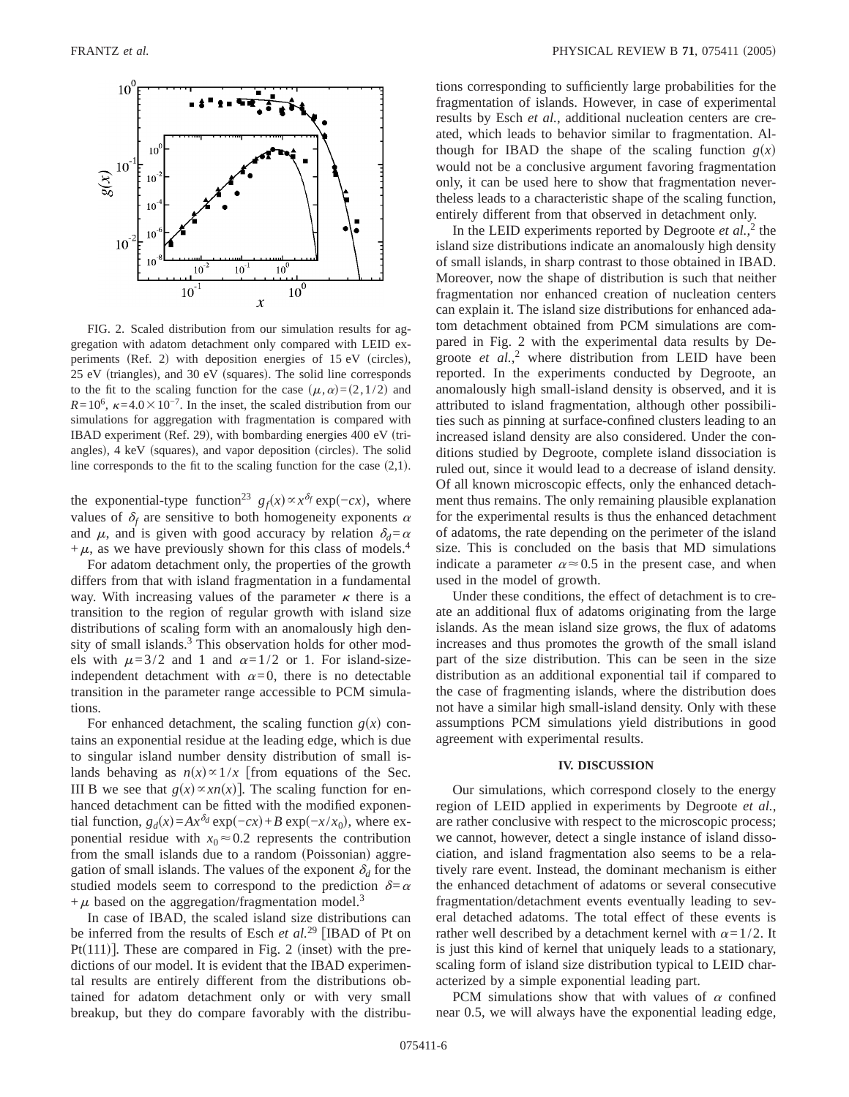

FIG. 2. Scaled distribution from our simulation results for aggregation with adatom detachment only compared with LEID experiments (Ref. 2) with deposition energies of  $15 \text{ eV}$  (circles),  $25$  eV (triangles), and  $30$  eV (squares). The solid line corresponds to the fit to the scaling function for the case  $(\mu, \alpha) = (2,1/2)$  and  $R=10^6$ ,  $\kappa=4.0\times10^{-7}$ . In the inset, the scaled distribution from our simulations for aggregation with fragmentation is compared with IBAD experiment (Ref. 29), with bombarding energies 400 eV (triangles), 4 keV (squares), and vapor deposition (circles). The solid line corresponds to the fit to the scaling function for the case  $(2,1)$ .

the exponential-type function<sup>23</sup>  $g_f(x) \propto x^{\delta_f} \exp(-cx)$ , where values of  $\delta_f$  are sensitive to both homogeneity exponents  $\alpha$ and  $\mu$ , and is given with good accuracy by relation  $\delta_d = \alpha$  $+\mu$ , as we have previously shown for this class of models.<sup>4</sup>

For adatom detachment only, the properties of the growth differs from that with island fragmentation in a fundamental way. With increasing values of the parameter  $\kappa$  there is a transition to the region of regular growth with island size distributions of scaling form with an anomalously high density of small islands.<sup>3</sup> This observation holds for other models with  $\mu=3/2$  and 1 and  $\alpha=1/2$  or 1. For island-sizeindependent detachment with  $\alpha=0$ , there is no detectable transition in the parameter range accessible to PCM simulations.

For enhanced detachment, the scaling function  $g(x)$  contains an exponential residue at the leading edge, which is due to singular island number density distribution of small islands behaving as  $n(x) \propto 1/x$  [from equations of the Sec. III B we see that  $g(x) \propto xn(x)$ . The scaling function for enhanced detachment can be fitted with the modified exponential function,  $g_d(x) = Ax^{\delta_d} \exp(-cx) + B \exp(-x/x_0)$ , where exponential residue with  $x_0 \approx 0.2$  represents the contribution from the small islands due to a random (Poissonian) aggregation of small islands. The values of the exponent  $\delta_d$  for the studied models seem to correspond to the prediction  $\delta = \alpha$  $+\mu$  based on the aggregation/fragmentation model.<sup>3</sup>

In case of IBAD, the scaled island size distributions can be inferred from the results of Esch *et al.*<sup>29</sup> [IBAD of Pt on Pt $(111)$ ]. These are compared in Fig. 2 (inset) with the predictions of our model. It is evident that the IBAD experimental results are entirely different from the distributions obtained for adatom detachment only or with very small breakup, but they do compare favorably with the distributions corresponding to sufficiently large probabilities for the fragmentation of islands. However, in case of experimental results by Esch *et al.*, additional nucleation centers are created, which leads to behavior similar to fragmentation. Although for IBAD the shape of the scaling function  $g(x)$ would not be a conclusive argument favoring fragmentation only, it can be used here to show that fragmentation nevertheless leads to a characteristic shape of the scaling function, entirely different from that observed in detachment only.

In the LEID experiments reported by Degroote *et al.*, <sup>2</sup> the island size distributions indicate an anomalously high density of small islands, in sharp contrast to those obtained in IBAD. Moreover, now the shape of distribution is such that neither fragmentation nor enhanced creation of nucleation centers can explain it. The island size distributions for enhanced adatom detachment obtained from PCM simulations are compared in Fig. 2 with the experimental data results by Degroote *et al.*,<sup>2</sup> where distribution from LEID have been reported. In the experiments conducted by Degroote, an anomalously high small-island density is observed, and it is attributed to island fragmentation, although other possibilities such as pinning at surface-confined clusters leading to an increased island density are also considered. Under the conditions studied by Degroote, complete island dissociation is ruled out, since it would lead to a decrease of island density. Of all known microscopic effects, only the enhanced detachment thus remains. The only remaining plausible explanation for the experimental results is thus the enhanced detachment of adatoms, the rate depending on the perimeter of the island size. This is concluded on the basis that MD simulations indicate a parameter  $\alpha \approx 0.5$  in the present case, and when used in the model of growth.

Under these conditions, the effect of detachment is to create an additional flux of adatoms originating from the large islands. As the mean island size grows, the flux of adatoms increases and thus promotes the growth of the small island part of the size distribution. This can be seen in the size distribution as an additional exponential tail if compared to the case of fragmenting islands, where the distribution does not have a similar high small-island density. Only with these assumptions PCM simulations yield distributions in good agreement with experimental results.

### **IV. DISCUSSION**

Our simulations, which correspond closely to the energy region of LEID applied in experiments by Degroote *et al.*, are rather conclusive with respect to the microscopic process; we cannot, however, detect a single instance of island dissociation, and island fragmentation also seems to be a relatively rare event. Instead, the dominant mechanism is either the enhanced detachment of adatoms or several consecutive fragmentation/detachment events eventually leading to several detached adatoms. The total effect of these events is rather well described by a detachment kernel with  $\alpha = 1/2$ . It is just this kind of kernel that uniquely leads to a stationary, scaling form of island size distribution typical to LEID characterized by a simple exponential leading part.

PCM simulations show that with values of  $\alpha$  confined near 0.5, we will always have the exponential leading edge,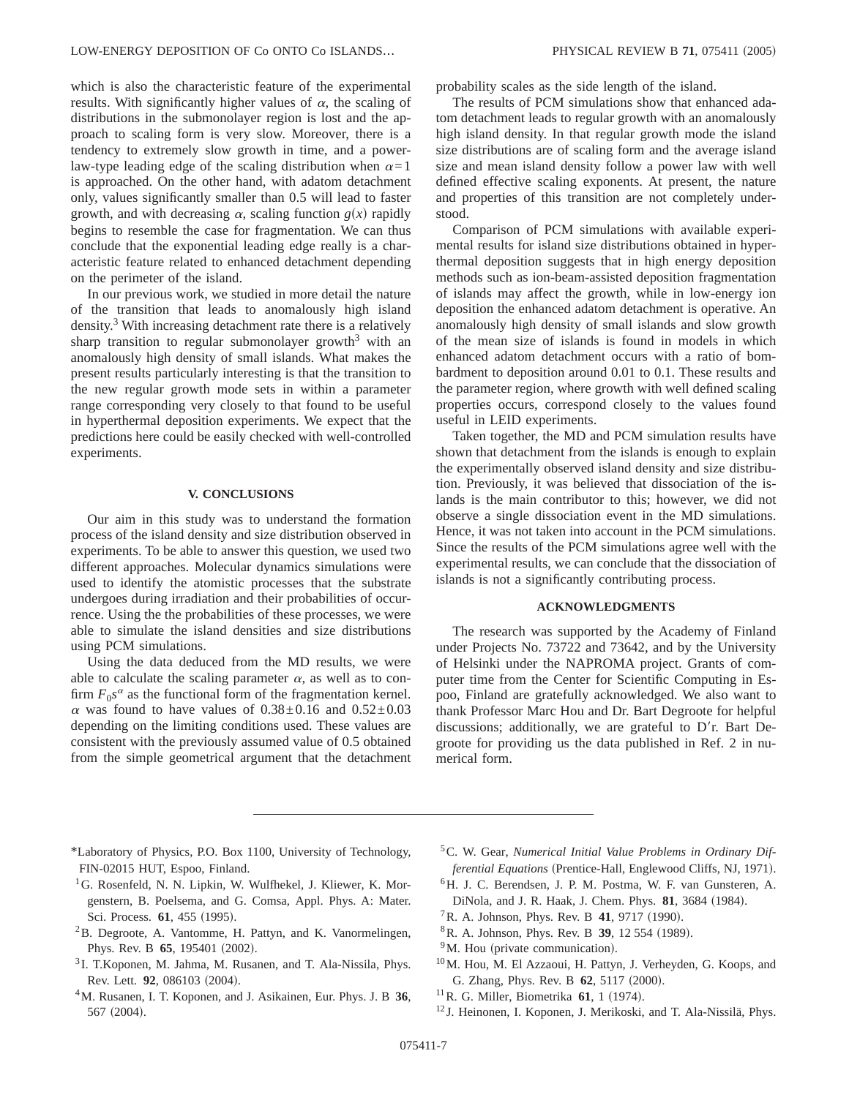which is also the characteristic feature of the experimental results. With significantly higher values of  $\alpha$ , the scaling of distributions in the submonolayer region is lost and the approach to scaling form is very slow. Moreover, there is a tendency to extremely slow growth in time, and a powerlaw-type leading edge of the scaling distribution when  $\alpha=1$ is approached. On the other hand, with adatom detachment only, values significantly smaller than 0.5 will lead to faster growth, and with decreasing  $\alpha$ , scaling function  $g(x)$  rapidly begins to resemble the case for fragmentation. We can thus conclude that the exponential leading edge really is a characteristic feature related to enhanced detachment depending on the perimeter of the island.

In our previous work, we studied in more detail the nature of the transition that leads to anomalously high island density. $3$  With increasing detachment rate there is a relatively sharp transition to regular submonolayer growth<sup>3</sup> with an anomalously high density of small islands. What makes the present results particularly interesting is that the transition to the new regular growth mode sets in within a parameter range corresponding very closely to that found to be useful in hyperthermal deposition experiments. We expect that the predictions here could be easily checked with well-controlled experiments.

# **V. CONCLUSIONS**

Our aim in this study was to understand the formation process of the island density and size distribution observed in experiments. To be able to answer this question, we used two different approaches. Molecular dynamics simulations were used to identify the atomistic processes that the substrate undergoes during irradiation and their probabilities of occurrence. Using the the probabilities of these processes, we were able to simulate the island densities and size distributions using PCM simulations.

Using the data deduced from the MD results, we were able to calculate the scaling parameter  $\alpha$ , as well as to confirm  $F_0s^{\alpha}$  as the functional form of the fragmentation kernel.  $\alpha$  was found to have values of  $0.38\pm0.16$  and  $0.52\pm0.03$ depending on the limiting conditions used. These values are consistent with the previously assumed value of 0.5 obtained from the simple geometrical argument that the detachment probability scales as the side length of the island.

The results of PCM simulations show that enhanced adatom detachment leads to regular growth with an anomalously high island density. In that regular growth mode the island size distributions are of scaling form and the average island size and mean island density follow a power law with well defined effective scaling exponents. At present, the nature and properties of this transition are not completely understood.

Comparison of PCM simulations with available experimental results for island size distributions obtained in hyperthermal deposition suggests that in high energy deposition methods such as ion-beam-assisted deposition fragmentation of islands may affect the growth, while in low-energy ion deposition the enhanced adatom detachment is operative. An anomalously high density of small islands and slow growth of the mean size of islands is found in models in which enhanced adatom detachment occurs with a ratio of bombardment to deposition around 0.01 to 0.1. These results and the parameter region, where growth with well defined scaling properties occurs, correspond closely to the values found useful in LEID experiments.

Taken together, the MD and PCM simulation results have shown that detachment from the islands is enough to explain the experimentally observed island density and size distribution. Previously, it was believed that dissociation of the islands is the main contributor to this; however, we did not observe a single dissociation event in the MD simulations. Hence, it was not taken into account in the PCM simulations. Since the results of the PCM simulations agree well with the experimental results, we can conclude that the dissociation of islands is not a significantly contributing process.

### **ACKNOWLEDGMENTS**

The research was supported by the Academy of Finland under Projects No. 73722 and 73642, and by the University of Helsinki under the NAPROMA project. Grants of computer time from the Center for Scientific Computing in Espoo, Finland are gratefully acknowledged. We also want to thank Professor Marc Hou and Dr. Bart Degroote for helpful discussions; additionally, we are grateful to  $D'r$ . Bart Degroote for providing us the data published in Ref. 2 in numerical form.

- \*Laboratory of Physics, P.O. Box 1100, University of Technology, FIN-02015 HUT, Espoo, Finland.
- <sup>1</sup>G. Rosenfeld, N. N. Lipkin, W. Wulfhekel, J. Kliewer, K. Morgenstern, B. Poelsema, and G. Comsa, Appl. Phys. A: Mater. Sci. Process. **61**, 455 (1995).
- <sup>2</sup>B. Degroote, A. Vantomme, H. Pattyn, and K. Vanormelingen, Phys. Rev. B 65, 195401 (2002).
- <sup>3</sup> I. T. Koponen, M. Jahma, M. Rusanen, and T. Ala-Nissila, Phys. Rev. Lett. 92, 086103 (2004).
- 4M. Rusanen, I. T. Koponen, and J. Asikainen, Eur. Phys. J. B **36**, 567 (2004).
- 5C. W. Gear, *Numerical Initial Value Problems in Ordinary Differential Equations* (Prentice-Hall, Englewood Cliffs, NJ, 1971).
- 6H. J. C. Berendsen, J. P. M. Postma, W. F. van Gunsteren, A. DiNola, and J. R. Haak, J. Chem. Phys. **81**, 3684 (1984).
- ${}^{7}R$ . A. Johnson, Phys. Rev. B 41, 9717 (1990).
- ${}^{8}$ R. A. Johnson, Phys. Rev. B 39, 12 554 (1989).
- $9$ M. Hou (private communication).
- 10M. Hou, M. El Azzaoui, H. Pattyn, J. Verheyden, G. Koops, and G. Zhang, Phys. Rev. B 62, 5117 (2000).
- <sup>11</sup> R. G. Miller, Biometrika **61**, 1 (1974).
- <sup>12</sup> J. Heinonen, I. Koponen, J. Merikoski, and T. Ala-Nissilä, Phys.